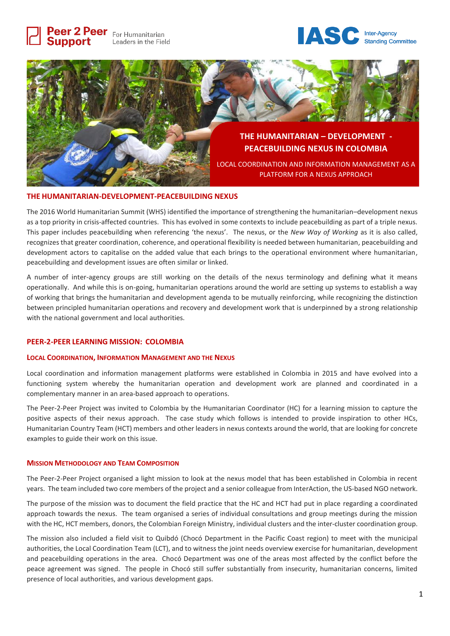Peer 2 Peer For Humanitarian Leaders in the Field

**Support** 





#### **THE HUMANITARIAN-DEVELOPMENT-PEACEBUILDING NEXUS**

The 2016 World Humanitarian Summit (WHS) identified the importance of strengthening the humanitarian–development nexus as a top priority in crisis-affected countries. This has evolved in some contexts to include peacebuilding as part of a triple nexus. This paper includes peacebuilding when referencing 'the nexus'. The nexus, or the *New Way of Working* as it is also called, recognizes that greater coordination, coherence, and operational flexibility is needed between humanitarian, peacebuilding and development actors to capitalise on the added value that each brings to the operational environment where humanitarian, peacebuilding and development issues are often similar or linked.

A number of inter-agency groups are still working on the details of the nexus terminology and defining what it means operationally. And while this is on-going, humanitarian operations around the world are setting up systems to establish a way of working that brings the humanitarian and development agenda to be mutually reinforcing, while recognizing the distinction between principled humanitarian operations and recovery and development work that is underpinned by a strong relationship with the national government and local authorities.

#### **PEER-2-PEER LEARNING MISSION: COLOMBIA**

#### **LOCAL COORDINATION, INFORMATION MANAGEMENT AND THE NEXUS**

Local coordination and information management platforms were established in Colombia in 2015 and have evolved into a functioning system whereby the humanitarian operation and development work are planned and coordinated in a complementary manner in an area-based approach to operations.

The Peer-2-Peer Project was invited to Colombia by the Humanitarian Coordinator (HC) for a learning mission to capture the positive aspects of their nexus approach. The case study which follows is intended to provide inspiration to other HCs, Humanitarian Country Team (HCT) members and other leaders in nexus contexts around the world, that are looking for concrete examples to guide their work on this issue.

### **MISSION METHODOLOGY AND TEAM COMPOSITION**

The Peer-2-Peer Project organised a light mission to look at the nexus model that has been established in Colombia in recent years. The team included two core members of the project and a senior colleague from InterAction, the US-based NGO network.

The purpose of the mission was to document the field practice that the HC and HCT had put in place regarding a coordinated approach towards the nexus. The team organised a series of individual consultations and group meetings during the mission with the HC, HCT members, donors, the Colombian Foreign Ministry, individual clusters and the inter-cluster coordination group.

The mission also included a field visit to Quibdó (Chocó Department in the Pacific Coast region) to meet with the municipal authorities, the Local Coordination Team (LCT), and to witness the joint needs overview exercise for humanitarian, development and peacebuilding operations in the area. Chocó Department was one of the areas most affected by the conflict before the peace agreement was signed. The people in Chocó still suffer substantially from insecurity, humanitarian concerns, limited presence of local authorities, and various development gaps.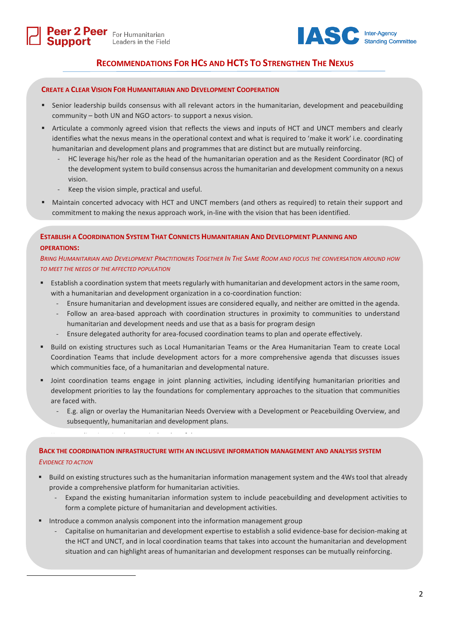**Support** 



# **RECOMMENDATIONS FOR HCS AND HCTS TO STRENGTHEN THE NEXUS**

### **CREATE A CLEAR VISION FOR HUMANITARIAN AND DEVELOPMENT COOPERATION**

- Senior leadership builds consensus with all relevant actors in the humanitarian, development and peacebuilding community – both UN and NGO actors- to support a nexus vision.
- Articulate a commonly agreed vision that reflects the views and inputs of HCT and UNCT members and clearly identifies what the nexus means in the operational context and what is required to 'make it work' i.e. coordinating humanitarian and development plans and programmes that are distinct but are mutually reinforcing.
	- HC leverage his/her role as the head of the humanitarian operation and as the Resident Coordinator (RC) of the development system to build consensus across the humanitarian and development community on a nexus vision.
	- Keep the vision simple, practical and useful.
- Maintain concerted advocacy with HCT and UNCT members (and others as required) to retain their support and commitment to making the nexus approach work, in-line with the vision that has been identified.

**ESTABLISH A COORDINATION SYSTEM THAT CONNECTS HUMANITARIAN AND DEVELOPMENT PLANNING AND OPERATIONS:** 

BRING HUMANITARIAN AND DEVELOPMENT PRACTITIONERS TOGETHER IN THE SAME ROOM AND FOCUS THE CONVERSATION AROUND HOW *TO MEET THE NEEDS OF THE AFFECTED POPULATION*

- Establish a coordination system that meets regularly with humanitarian and development actors in the same room, with a humanitarian and development organization in a co-coordination function:
	- Ensure humanitarian and development issues are considered equally, and neither are omitted in the agenda.
	- Follow an area-based approach with coordination structures in proximity to communities to understand humanitarian and development needs and use that as a basis for program design
	- Ensure delegated authority for area-focused coordination teams to plan and operate effectively.
- Build on existing structures such as Local Humanitarian Teams or the Area Humanitarian Team to create Local Coordination Teams that include development actors for a more comprehensive agenda that discusses issues which communities face, of a humanitarian and developmental nature.
- Joint coordination teams engage in joint planning activities, including identifying humanitarian priorities and development priorities to lay the foundations for complementary approaches to the situation that communities are faced with.
	- E.g. align or overlay the Humanitarian Needs Overview with a Development or Peacebuilding Overview, and subsequently, humanitarian and development plans.

### **BACK THE COORDINATION INFRASTRUCTURE WITH AN INCLUSIVE INFORMATION MANAGEMENT AND ANALYSIS SYSTEM**  *EVIDENCE TO ACTION*

- Build on existing structures such as the humanitarian information management system and the 4Ws tool that already provide a comprehensive platform for humanitarian activities.
	- Expand the existing humanitarian information system to include peacebuilding and development activities to form a complete picture of humanitarian and development activities.
- Introduce a common analysis component into the information management group

 $\overline{\phantom{a}}$ 

- Capitalise on humanitarian and development expertise to establish a solid evidence-base for decision-making at the HCT and UNCT, and in local coordination teams that takes into account the humanitarian and development situation and can highlight areas of humanitarian and development responses can be mutually reinforcing.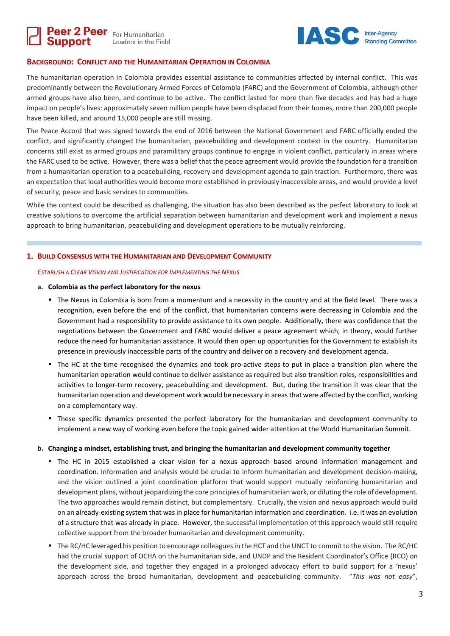



### **BACKGROUND: CONFLICT AND THE HUMANITARIAN OPERATION IN COLOMBIA**

The humanitarian operation in Colombia provides essential assistance to communities affected by internal conflict. This was predominantly between the Revolutionary Armed Forces of Colombia (FARC) and the Government of Colombia, although other armed groups have also been, and continue to be active. The conflict lasted for more than five decades and has had a huge impact on people's lives: approximately seven million people have been displaced from their homes, more than 200,000 people have been killed, and around 15,000 people are still missing.

The Peace Accord that was signed towards the end of 2016 between the National Government and FARC officially ended the conflict, and significantly changed the humanitarian, peacebuilding and development context in the country. Humanitarian concerns still exist as armed groups and paramilitary groups continue to engage in violent conflict, particularly in areas where the FARC used to be active. However, there was a belief that the peace agreement would provide the foundation for a transition from a humanitarian operation to a peacebuilding, recovery and development agenda to gain traction. Furthermore, there was an expectation that local authorities would become more established in previously inaccessible areas, and would provide a level of security, peace and basic services to communities.

While the context could be described as challenging, the situation has also been described as the perfect laboratory to look at creative solutions to overcome the artificial separation between humanitarian and development work and implement a nexus approach to bring humanitarian, peacebuilding and development operations to be mutually reinforcing.

#### **1. BUILD CONSENSUS WITH THE HUMANITARIAN AND DEVELOPMENT COMMUNITY**

#### *ESTABLISH A CLEAR VISION AND JUSTIFICATION FOR IMPLEMENTING THE NEXUS*

#### **a. Colombia as the perfect laboratory for the nexus**

- The Nexus in Colombia is born from a momentum and a necessity in the country and at the field level. There was a recognition, even before the end of the conflict, that humanitarian concerns were decreasing in Colombia and the Government had a responsibility to provide assistance to its own people. Additionally, there was confidence that the negotiations between the Government and FARC would deliver a peace agreement which, in theory, would further reduce the need for humanitarian assistance. It would then open up opportunities for the Government to establish its presence in previously inaccessible parts of the country and deliver on a recovery and development agenda.
- The HC at the time recognised the dynamics and took pro-active steps to put in place a transition plan where the humanitarian operation would continue to deliver assistance as required but also transition roles, responsibilities and activities to longer-term recovery, peacebuilding and development. But, during the transition it was clear that the humanitarian operation and development work would be necessary in areas that were affected by the conflict, working on a complementary way.
- These specific dynamics presented the perfect laboratory for the humanitarian and development community to implement a new way of working even before the topic gained wider attention at the World Humanitarian Summit.

#### **b. Changing a mindset, establishing trust, and bringing the humanitarian and development community together**

- The HC in 2015 established a clear vision for a nexus approach based around information management and coordination. Information and analysis would be crucial to inform humanitarian and development decision-making, and the vision outlined a joint coordination platform that would support mutually reinforcing humanitarian and development plans, without jeopardizing the core principles of humanitarian work, or diluting the role of development. The two approaches would remain distinct, but complementary. Crucially, the vision and nexus approach would build on an already-existing system that was in place for humanitarian information and coordination. i.e. it was an evolution of a structure that was already in place. However, the successful implementation of this approach would still require collective support from the broader humanitarian and development community.
- The RC/HC leveraged his position to encourage colleagues in the HCT and the UNCT to commit to the vision. The RC/HC had the crucial support of OCHA on the humanitarian side, and UNDP and the Resident Coordinator's Office (RCO) on the development side, and together they engaged in a prolonged advocacy effort to build support for a 'nexus' approach across the broad humanitarian, development and peacebuilding community. "*This was not easy*",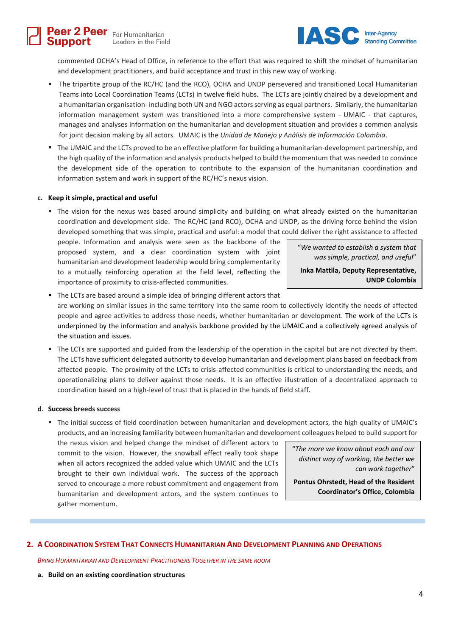

commented OCHA's Head of Office, in reference to the effort that was required to shift the mindset of humanitarian and development practitioners, and build acceptance and trust in this new way of working.

- The tripartite group of the RC/HC (and the RCO), OCHA and UNDP persevered and transitioned Local Humanitarian Teams into Local Coordination Teams (LCTs) in twelve field hubs. The LCTs are jointly chaired by a development and a humanitarian organisation- including both UN and NGO actors serving as equal partners. Similarly, the humanitarian information management system was transitioned into a more comprehensive system - UMAIC - that captures, manages and analyses information on the humanitarian and development situation and provides a common analysis for joint decision making by all actors. UMAIC is the *Unidad de Manejo y Análisis de Información Colombia*.
- The UMAIC and the LCTs proved to be an effective platform for building a humanitarian-development partnership, and the high quality of the information and analysis products helped to build the momentum that was needed to convince the development side of the operation to contribute to the expansion of the humanitarian coordination and information system and work in support of the RC/HC's nexus vision.

#### **c. Keep it simple, practical and useful**

support

■ The vision for the nexus was based around simplicity and building on what already existed on the humanitarian coordination and development side. The RC/HC (and RCO), OCHA and UNDP, as the driving force behind the vision developed something that was simple, practical and useful: a model that could deliver the right assistance to affected

people. Information and analysis were seen as the backbone of the proposed system, and a clear coordination system with joint humanitarian and development leadership would bring complementarity to a mutually reinforcing operation at the field level, reflecting the importance of proximity to crisis-affected communities.

"*We wanted to establish a system that was simple, practical, and useful*" **Inka Mattila, Deputy Representative,**

**UNDP Colombia**

- The LCTs are based around a simple idea of bringing different actors that are working on similar issues in the same territory into the same room to collectively identify the needs of affected people and agree activities to address those needs, whether humanitarian or development. The work of the LCTs is underpinned by the information and analysis backbone provided by the UMAIC and a collectively agreed analysis of the situation and issues.
- The LCTs are supported and guided from the leadership of the operation in the capital but are not *directed* by them. The LCTs have sufficient delegated authority to develop humanitarian and development plans based on feedback from affected people. The proximity of the LCTs to crisis-affected communities is critical to understanding the needs, and operationalizing plans to deliver against those needs. It is an effective illustration of a decentralized approach to coordination based on a high-level of trust that is placed in the hands of field staff.

#### **d. Success breeds success**

▪ The initial success of field coordination between humanitarian and development actors, the high quality of UMAIC's products, and an increasing familiarity between humanitarian and development colleagues helped to build support for

the nexus vision and helped change the mindset of different actors to commit to the vision. However, the snowball effect really took shape when all actors recognized the added value which UMAIC and the LCTs brought to their own individual work. The success of the approach served to encourage a more robust commitment and engagement from humanitarian and development actors, and the system continues to gather momentum.

"*The more we know about each and our distinct way of working, the better we can work together*"

**Pontus Ohrstedt, Head of the Resident Coordinator's Office, Colombia**

#### 2. A COORDINATION SYSTEM THAT CONNECTS HUMANITARIAN AND DEVELOPMENT PLANNING AND OPERATIONS

*BRING HUMANITARIAN AND DEVELOPMENT PRACTITIONERS TOGETHER IN THE SAME ROOM*

**a. Build on an existing coordination structures**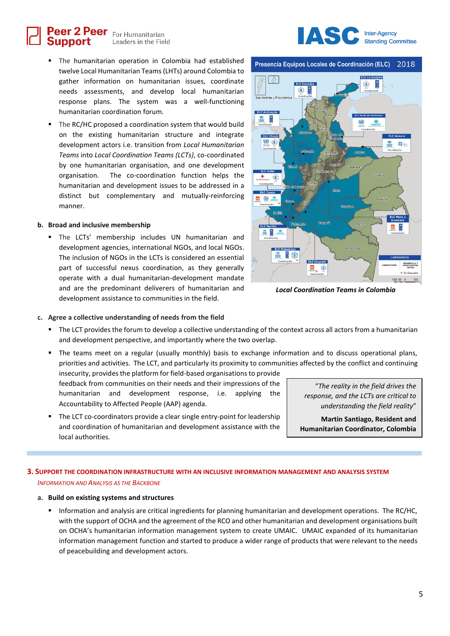Peer 2 Peer For Humanitarian Leaders in the Field

- The humanitarian operation in Colombia had established twelve Local Humanitarian Teams (LHTs) around Colombia to gather information on humanitarian issues, coordinate needs assessments, and develop local humanitarian response plans. The system was a well-functioning humanitarian coordination forum.
- The RC/HC proposed a coordination system that would build on the existing humanitarian structure and integrate development actors i.e. transition from *Local Humanitarian Teams* into *Local Coordination Teams (LCTs)*, co-coordinated by one humanitarian organisation, and one development organisation. The co-coordination function helps the humanitarian and development issues to be addressed in a distinct but complementary and mutually-reinforcing manner.

#### **b. Broad and inclusive membership**

Support

▪ The LCTs' membership includes UN humanitarian and development agencies, international NGOs, and local NGOs. The inclusion of NGOs in the LCTs is considered an essential part of successful nexus coordination, as they generally operate with a dual humanitarian-development mandate and are the predominant deliverers of humanitarian and development assistance to communities in the field.



Presencia Equipos Locales de Coordinación (ELC) 2018



*Local Coordination Teams in Colombia*

- **c. Agree a collective understanding of needs from the field**
	- The LCT provides the forum to develop a collective understanding of the context across all actors from a humanitarian and development perspective, and importantly where the two overlap.
	- The teams meet on a regular (usually monthly) basis to exchange information and to discuss operational plans, priorities and activities. The LCT, and particularly its proximity to communities affected by the conflict and continuing insecurity, provides the platform for field-based organisations to provide

feedback from communities on their needs and their impressions of the humanitarian and development response, i.e. applying the Accountability to Affected People (AAP) agenda.

■ The LCT co-coordinators provide a clear single entry-point for leadership and coordination of humanitarian and development assistance with the local authorities.

"*The reality in the field drives the response, and the LCTs are critical to understanding the field reality*"

**Martin Santiago, Resident and Humanitarian Coordinator, Colombia**

## **3. SUPPORT THE COORDINATION INFRASTRUCTURE WITH AN INCLUSIVE INFORMATION MANAGEMENT AND ANALYSIS SYSTEM**  *INFORMATION AND ANALYSIS AS THE BACKBONE*

#### **a. Build on existing systems and structures**

▪ Information and analysis are critical ingredients for planning humanitarian and development operations. The RC/HC, with the support of OCHA and the agreement of the RCO and other humanitarian and development organisations built on OCHA's humanitarian information management system to create UMAIC. UMAIC expanded of its humanitarian information management function and started to produce a wider range of products that were relevant to the needs of peacebuilding and development actors.